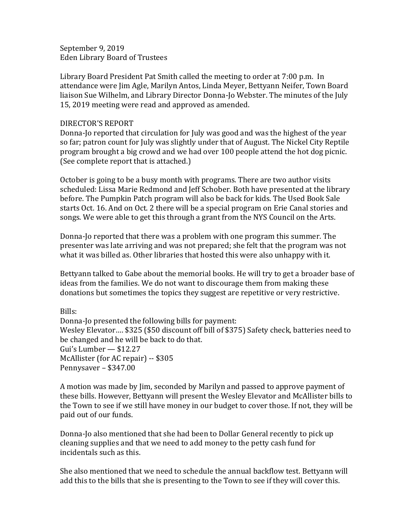September 9, 2019 Eden Library Board of Trustees

Library Board President Pat Smith called the meeting to order at 7:00 p.m. In attendance were Jim Agle, Marilyn Antos, Linda Meyer, Bettyann Neifer, Town Board liaison Sue Wilhelm, and Library Director Donna-Jo Webster. The minutes of the July 15, 2019 meeting were read and approved as amended.

## DIRECTOR'S REPORT

Donna-Jo reported that circulation for July was good and was the highest of the year so far; patron count for July was slightly under that of August. The Nickel City Reptile program brought a big crowd and we had over 100 people attend the hot dog picnic. (See complete report that is attached.)

October is going to be a busy month with programs. There are two author visits scheduled: Lissa Marie Redmond and Jeff Schober. Both have presented at the library before. The Pumpkin Patch program will also be back for kids. The Used Book Sale starts Oct. 16. And on Oct. 2 there will be a special program on Erie Canal stories and songs. We were able to get this through a grant from the NYS Council on the Arts.

Donna-Jo reported that there was a problem with one program this summer. The presenter was late arriving and was not prepared; she felt that the program was not what it was billed as. Other libraries that hosted this were also unhappy with it.

Bettyann talked to Gabe about the memorial books. He will try to get a broader base of ideas from the families. We do not want to discourage them from making these donations but sometimes the topics they suggest are repetitive or very restrictive.

Bills: Donna-Jo presented the following bills for payment: Wesley Elevator…. \$325 (\$50 discount off bill of \$375) Safety check, batteries need to be changed and he will be back to do that. Gui's Lumber — \$12.27 McAllister (for AC repair) -- \$305 Pennysaver – \$347.00

A motion was made by Jim, seconded by Marilyn and passed to approve payment of these bills. However, Bettyann will present the Wesley Elevator and McAllister bills to the Town to see if we still have money in our budget to cover those. If not, they will be paid out of our funds.

Donna-Jo also mentioned that she had been to Dollar General recently to pick up cleaning supplies and that we need to add money to the petty cash fund for incidentals such as this.

She also mentioned that we need to schedule the annual backflow test. Bettyann will add this to the bills that she is presenting to the Town to see if they will cover this.